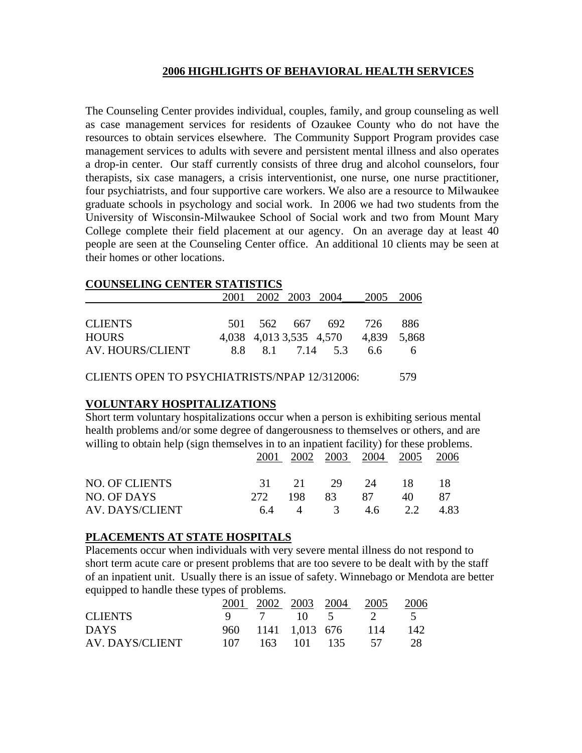## **2006 HIGHLIGHTS OF BEHAVIORAL HEALTH SERVICES**

The Counseling Center provides individual, couples, family, and group counseling as well as case management services for residents of Ozaukee County who do not have the resources to obtain services elsewhere. The Community Support Program provides case management services to adults with severe and persistent mental illness and also operates a drop-in center. Our staff currently consists of three drug and alcohol counselors, four therapists, six case managers, a crisis interventionist, one nurse, one nurse practitioner, four psychiatrists, and four supportive care workers. We also are a resource to Milwaukee graduate schools in psychology and social work. In 2006 we had two students from the University of Wisconsin-Milwaukee School of Social work and two from Mount Mary College complete their field placement at our agency. On an average day at least 40 people are seen at the Counseling Center office. An additional 10 clients may be seen at their homes or other locations.

#### **COUNSELING CENTER STATISTICS**

|                  |  | 2001 2002 2003 2004 2005 2006       |       |
|------------------|--|-------------------------------------|-------|
|                  |  |                                     |       |
| <b>CLIENTS</b>   |  | 501 562 667 692 726                 | -886  |
| <b>HOURS</b>     |  | 4,038 4,013 3,535 4,570 4,839 5,868 |       |
| AV. HOURS/CLIENT |  | 8.8 8.1 7.14 5.3 6.6                | - 6 - |

CLIENTS OPEN TO PSYCHIATRISTS/NPAP 12/312006: 579

### **VOLUNTARY HOSPITALIZATIONS**

Short term voluntary hospitalizations occur when a person is exhibiting serious mental health problems and/or some degree of dangerousness to themselves or others, and are willing to obtain help (sign themselves in to an inpatient facility) for these problems. 2001 2002 2003 2004 2005 2006

|                 |  | $  -$           | $-0$ . | $-0o$ |      |
|-----------------|--|-----------------|--------|-------|------|
| NO. OF CLIENTS  |  | 31 21 29 24 18  |        |       |      |
| NO. OF DAYS     |  | 272 198 83      | - 87   | 40    | -87  |
| AV. DAYS/CLIENT |  | 6.4 4 3 4.6 2.2 |        |       | 4.83 |

### **PLACEMENTS AT STATE HOSPITALS**

Placements occur when individuals with very severe mental illness do not respond to short term acute care or present problems that are too severe to be dealt with by the staff of an inpatient unit. Usually there is an issue of safety. Winnebago or Mendota are better equipped to handle these types of problems.

|                 |     |  | 2001 2002 2003 2004 2005 | 2006 |
|-----------------|-----|--|--------------------------|------|
| <b>CLIENTS</b>  |     |  | 9 7 10 5 2 5             |      |
| <b>DAYS</b>     |     |  | 960 1141 1,013 676 114   | 142  |
| AV. DAYS/CLIENT | 107 |  | 163 101 135 57           | -28  |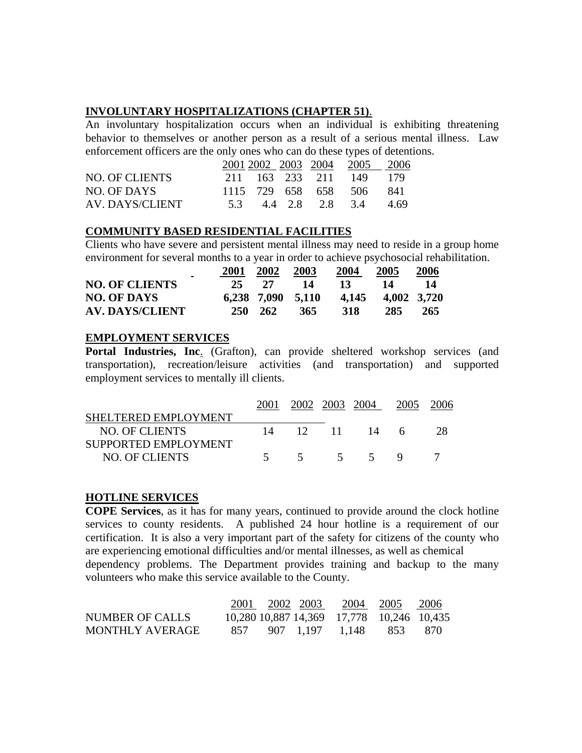## **INVOLUNTARY HOSPITALIZATIONS (CHAPTER 51)**.

An involuntary hospitalization occurs when an individual is exhibiting threatening behavior to themselves or another person as a result of a serious mental illness. Law enforcement officers are the only ones who can do these types of detentions.

|                 |  |                     | 2001 2002 2003 2004 2005 | -2006 |
|-----------------|--|---------------------|--------------------------|-------|
| NO. OF CLIENTS  |  | 211 163 233 211 149 |                          | 179   |
| NO. OF DAYS     |  |                     | 1115 729 658 658 506     | -841  |
| AV. DAYS/CLIENT |  | 5.3 4.4 2.8 2.8 3.4 |                          | 4.69  |

## **COMMUNITY BASED RESIDENTIAL FACILITIES**

Clients who have severe and persistent mental illness may need to reside in a group home environment for several months to a year in order to achieve psychosocial rehabilitation.

| $\blacksquare$         | 2001 | 2002              | 2003 | 2004  | 2005 | 2006        |
|------------------------|------|-------------------|------|-------|------|-------------|
| <b>NO. OF CLIENTS</b>  | 25   | 27                | 14   | 13    | 14   | 14          |
| <b>NO. OF DAYS</b>     |      | 6,238 7,090 5,110 |      | 4.145 |      | 4,002 3,720 |
| <b>AV. DAYS/CLIENT</b> |      | 250 262           | 365  | 318   | 285  | 265         |

## **EMPLOYMENT SERVICES**

**Portal Industries, Inc**. (Grafton), can provide sheltered workshop services (and transportation), recreation/leisure activities (and transportation) and supported employment services to mentally ill clients.

|                      |      |          | 2002 2003 2004  | 2005 | 2006 |
|----------------------|------|----------|-----------------|------|------|
| SHELTERED EMPLOYMENT |      |          |                 |      |      |
| NO. OF CLIENTS       |      | 12 11    | $\overline{14}$ | 6    |      |
| SUPPORTED EMPLOYMENT |      |          |                 |      |      |
| NO. OF CLIENTS       | $-5$ | $\sim$ 5 |                 |      |      |

# **HOTLINE SERVICES**

**COPE Services**, as it has for many years, continued to provide around the clock hotline services to county residents. A published 24 hour hotline is a requirement of our certification. It is also a very important part of the safety for citizens of the county who are experiencing emotional difficulties and/or mental illnesses, as well as chemical dependency problems. The Department provides training and backup to the many volunteers who make this service available to the County.

|                 |     | 2001 2002 2003 |                                           | 2004 2005 2006 |      |
|-----------------|-----|----------------|-------------------------------------------|----------------|------|
| NUMBER OF CALLS |     |                | 10,280 10,887 14,369 17,778 10,246 10,435 |                |      |
| MONTHLY AVERAGE | 857 |                | 907 1.197 1.148                           | 853            | -870 |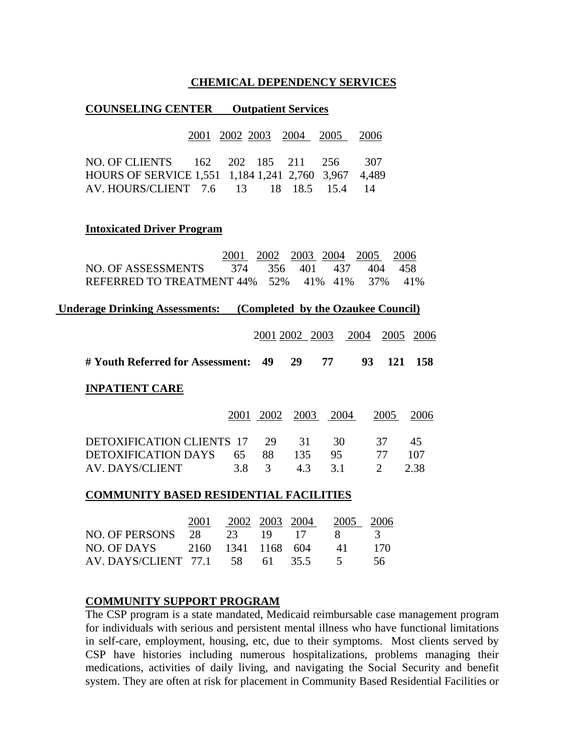#### **CHEMICAL DEPENDENCY SERVICES**

#### **COUNSELING CENTER Outpatient Services**

| 2001 2002 2003 2004                                                     |                                                                             |           |      | 2005                  | 2006           |             |
|-------------------------------------------------------------------------|-----------------------------------------------------------------------------|-----------|------|-----------------------|----------------|-------------|
| NO. OF CLIENTS<br>162<br>HOURS OF SERVICE 1,551 1,184 1,241 2,760 3,967 | 202                                                                         | 185       | 211  | 256                   | 307<br>4,489   |             |
| AV. HOURS/CLIENT 7.6 13                                                 |                                                                             |           |      | 18 18.5 15.4          | 14             |             |
| <b>Intoxicated Driver Program</b>                                       |                                                                             |           |      |                       |                |             |
| <b>NO. OF ASSESSMENTS</b>                                               | 2001<br>374                                                                 | 356       | 401  | 2002 2003 2004<br>437 | 2005<br>404    | 2006<br>458 |
| REFERRED TO TREATMENT 44% 52%                                           |                                                                             |           |      | 41% 41%               | 37%            | 41%         |
|                                                                         | <b>Underage Drinking Assessments:</b><br>(Completed by the Ozaukee Council) |           |      |                       |                |             |
|                                                                         |                                                                             |           |      | 2001 2002 2003 2004   | 2005           | 2006        |
| # Youth Referred for Assessment:                                        |                                                                             | 49        | 29   | 77                    | 93<br>121      | 158         |
| <b>INPATIENT CARE</b>                                                   |                                                                             |           |      |                       |                |             |
|                                                                         |                                                                             | 2001 2002 | 2003 | 2004                  | 2005           | 2006        |
| <b>DETOXIFICATION CLIENTS 17</b>                                        |                                                                             | 29        | 31   | 30                    | 37             | 45          |
| <b>DETOXIFICATION DAYS</b>                                              | 65                                                                          | 88        | 135  | 95                    | 77             | 107         |
| <b>AV. DAYS/CLIENT</b>                                                  | 3.8                                                                         | 3         | 4.3  | 3.1                   | $\overline{2}$ | 2.38        |
| <b>COMMUNITY BASED RESIDENTIAL FACILITIES</b>                           |                                                                             |           |      |                       |                |             |

|                                   | 2001 | 2002 2003 2004 |  | 2005 2006    |      |
|-----------------------------------|------|----------------|--|--------------|------|
| NO. OF PERSONS 28 23 19 17        |      |                |  | $\mathbf{X}$ | - 3  |
| NO. OF DAYS 2160 1341 1168 604    |      |                |  | 41 I         | 17O  |
| AV. DAYS/CLIENT 77.1 58 61 35.5 5 |      |                |  |              | -56. |

### **COMMUNITY SUPPORT PROGRAM**

The CSP program is a state mandated, Medicaid reimbursable case management program for individuals with serious and persistent mental illness who have functional limitations in self-care, employment, housing, etc, due to their symptoms. Most clients served by CSP have histories including numerous hospitalizations, problems managing their medications, activities of daily living, and navigating the Social Security and benefit system. They are often at risk for placement in Community Based Residential Facilities or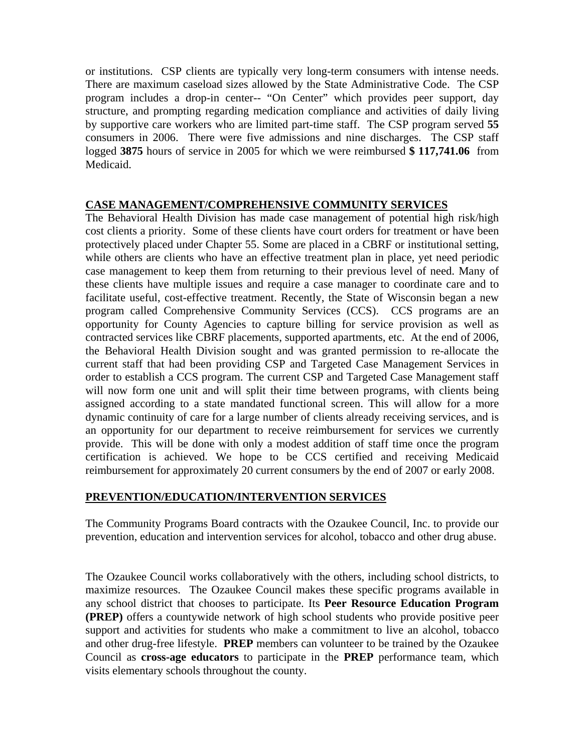or institutions. CSP clients are typically very long-term consumers with intense needs. There are maximum caseload sizes allowed by the State Administrative Code. The CSP program includes a drop-in center-- "On Center" which provides peer support, day structure, and prompting regarding medication compliance and activities of daily living by supportive care workers who are limited part-time staff. The CSP program served **55**  consumers in 2006. There were five admissions and nine discharges. The CSP staff logged **3875** hours of service in 2005 for which we were reimbursed **\$ 117,741.06** from Medicaid.

## **CASE MANAGEMENT/COMPREHENSIVE COMMUNITY SERVICES**

The Behavioral Health Division has made case management of potential high risk/high cost clients a priority. Some of these clients have court orders for treatment or have been protectively placed under Chapter 55. Some are placed in a CBRF or institutional setting, while others are clients who have an effective treatment plan in place, yet need periodic case management to keep them from returning to their previous level of need. Many of these clients have multiple issues and require a case manager to coordinate care and to facilitate useful, cost-effective treatment. Recently, the State of Wisconsin began a new program called Comprehensive Community Services (CCS). CCS programs are an opportunity for County Agencies to capture billing for service provision as well as contracted services like CBRF placements, supported apartments, etc. At the end of 2006, the Behavioral Health Division sought and was granted permission to re-allocate the current staff that had been providing CSP and Targeted Case Management Services in order to establish a CCS program. The current CSP and Targeted Case Management staff will now form one unit and will split their time between programs, with clients being assigned according to a state mandated functional screen. This will allow for a more dynamic continuity of care for a large number of clients already receiving services, and is an opportunity for our department to receive reimbursement for services we currently provide. This will be done with only a modest addition of staff time once the program certification is achieved. We hope to be CCS certified and receiving Medicaid reimbursement for approximately 20 current consumers by the end of 2007 or early 2008.

# **PREVENTION/EDUCATION/INTERVENTION SERVICES**

The Community Programs Board contracts with the Ozaukee Council, Inc. to provide our prevention, education and intervention services for alcohol, tobacco and other drug abuse.

The Ozaukee Council works collaboratively with the others, including school districts, to maximize resources. The Ozaukee Council makes these specific programs available in any school district that chooses to participate. Its **Peer Resource Education Program (PREP)** offers a countywide network of high school students who provide positive peer support and activities for students who make a commitment to live an alcohol, tobacco and other drug-free lifestyle. **PREP** members can volunteer to be trained by the Ozaukee Council as **cross-age educators** to participate in the **PREP** performance team, which visits elementary schools throughout the county.